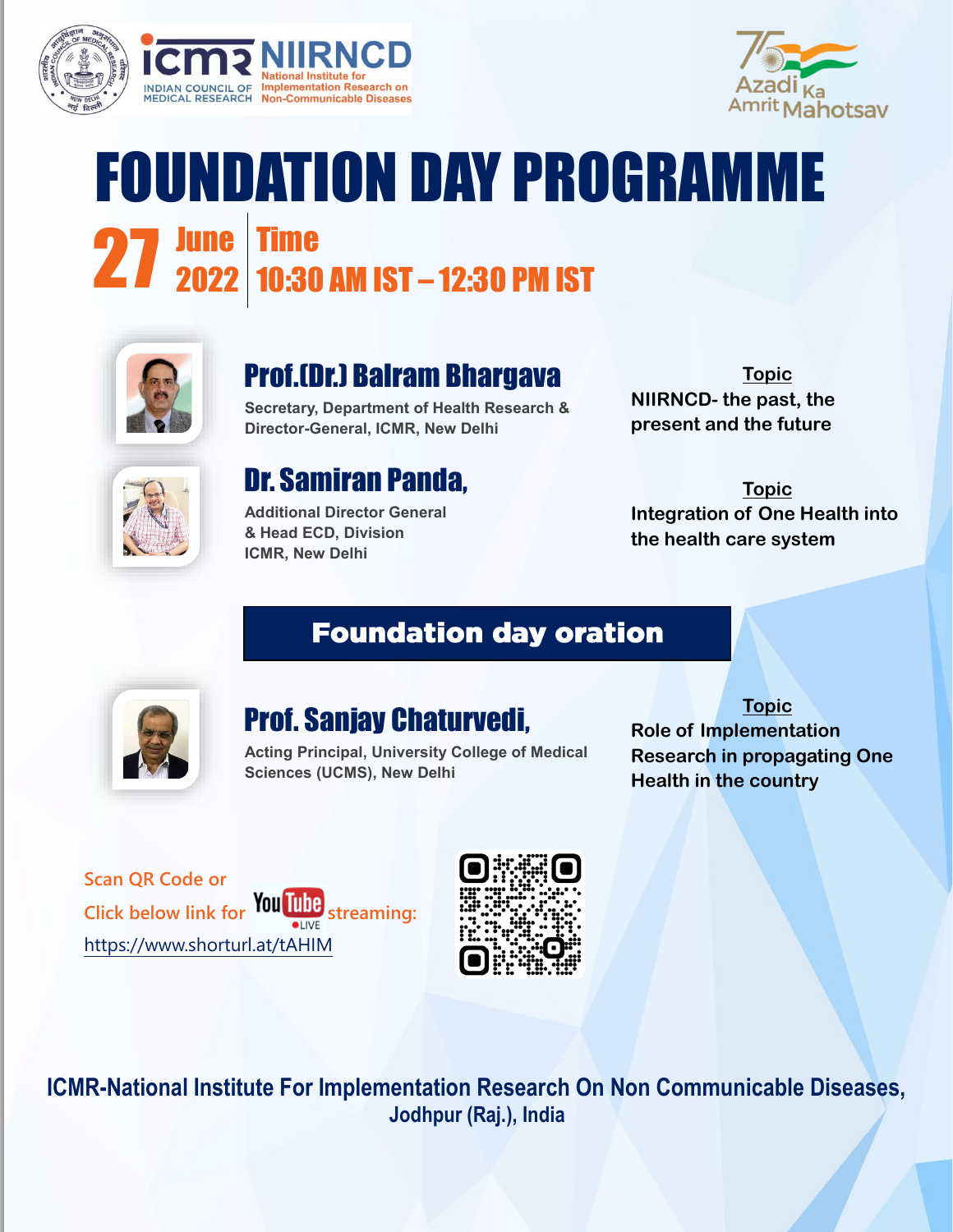



# FOUNDATION DAY PROGRAMME **27 June Time<br>27 2022 10:30 AM IST – 12:30 PM IST June | Time**



### Prof.(Dr.) Balram Bhargava

**Secretary, Department of Health Research & Director-General, ICMR, New Delhi**

**Topic NIIRNCD- the past, the present and the future**



#### Dr. Samiran Panda,

**Additional Director General & Head ECD, Division ICMR, New Delhi**

**Topic Integration of One Health into the health care system**

#### **Foundation day oration**



#### Prof. Sanjay Chaturvedi,

**Acting Principal, University College of Medical Sciences (UCMS), New Delhi**

#### **Topic Role of Implementation Research in propagating One Health in the country**

**Scan QR Code or Click below link for You Line streaming:** <https://www.shorturl.at/tAHIM>



**ICMR-National Institute For Implementation Research On Non Communicable Diseases, Jodhpur (Raj.), India**